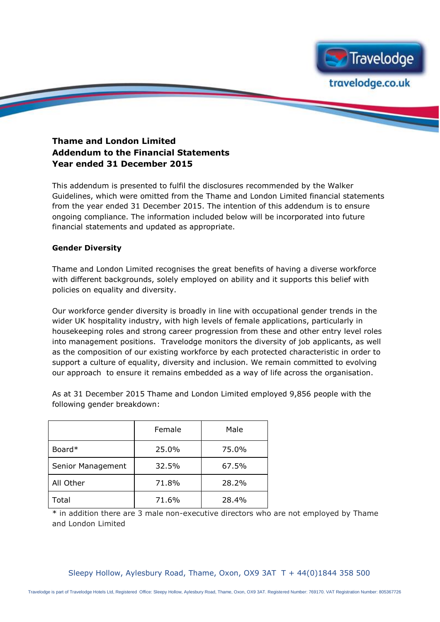

## **Thame and London Limited Addendum to the Financial Statements Year ended 31 December 2015**

This addendum is presented to fulfil the disclosures recommended by the Walker Guidelines, which were omitted from the Thame and London Limited financial statements from the year ended 31 December 2015. The intention of this addendum is to ensure ongoing compliance. The information included below will be incorporated into future financial statements and updated as appropriate.

## **Gender Diversity**

Thame and London Limited recognises the great benefits of having a diverse workforce with different backgrounds, solely employed on ability and it supports this belief with policies on equality and diversity.

Our workforce gender diversity is broadly in line with occupational gender trends in the wider UK hospitality industry, with high levels of female applications, particularly in housekeeping roles and strong career progression from these and other entry level roles into management positions. Travelodge monitors the diversity of job applicants, as well as the composition of our existing workforce by each protected characteristic in order to support a culture of equality, diversity and inclusion. We remain committed to evolving our approach to ensure it remains embedded as a way of life across the organisation.

As at 31 December 2015 Thame and London Limited employed 9,856 people with the following gender breakdown:

|                   | Female | Male  |
|-------------------|--------|-------|
| Board*            | 25.0%  | 75.0% |
| Senior Management | 32.5%  | 67.5% |
| All Other         | 71.8%  | 28.2% |
| Total             | 71.6%  | 28.4% |

\* in addition there are 3 male non-executive directors who are not employed by Thame and London Limited

Sleepy Hollow, Aylesbury Road, Thame, Oxon, OX9 3AT  $T + 44(0)1844358500$